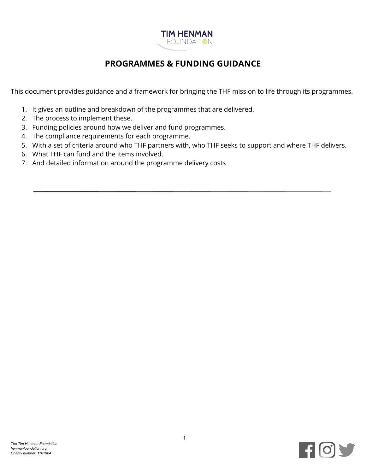

# **PROGRAMMES & FUNDING GUIDANCE**

This document provides guidance and a framework for bringing the THF mission to life through its programmes.

- 1. It gives an outline and breakdown of the programmes that are delivered.
- 2. The process to implement these.
- 3. Funding policies around how we deliver and fund programmes.
- 4. The compliance requirements for each programme.
- 5. With a set of criteria around who THF partners with, who THF seeks to support and where THF delivers.
- 6. What THF can fund and the items involved.
- 7. And detailed information around the programme delivery costs

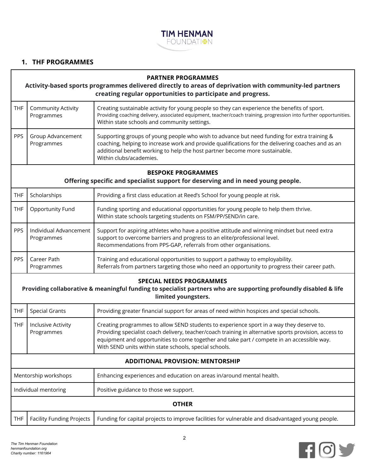

## **1. THF PROGRAMMES**

#### **PARTNER PROGRAMMES**

#### **Activity-based sports programmes delivered directly to areas of deprivation with community-led partners creating regular opportunities to participate and progress.**

|            | THF   Community Activity<br>Programmes | Creating sustainable activity for young people so they can experience the benefits of sport.<br>Providing coaching delivery, associated equipment, teacher/coach training, progression into further opportunities.<br>Within state schools and community settings.                                           |
|------------|----------------------------------------|--------------------------------------------------------------------------------------------------------------------------------------------------------------------------------------------------------------------------------------------------------------------------------------------------------------|
| <b>PPS</b> | Group Advancement<br>Programmes        | Supporting groups of young people who wish to advance but need funding for extra training &<br>coaching, helping to increase work and provide qualifications for the delivering coaches and as an<br>additional benefit working to help the host partner become more sustainable.<br>Within clubs/academies. |

#### **BESPOKE PROGRAMMES**

**Offering specific and specialist support for deserving and in need young people.**

| <b>THF</b> | Scholarships                         | Providing a first class education at Reed's School for young people at risk.                                                                                                                                                                    |
|------------|--------------------------------------|-------------------------------------------------------------------------------------------------------------------------------------------------------------------------------------------------------------------------------------------------|
| THF        | Opportunity Fund                     | Funding sporting and educational opportunities for young people to help them thrive.<br>Within state schools targeting students on FSM/PP/SEND/in care.                                                                                         |
| <b>PPS</b> | Individual Advancement<br>Programmes | Support for aspiring athletes who have a positive attitude and winning mindset but need extra<br>support to overcome barriers and progress to an elite/professional level.<br>Recommendations from PPS-GAP, referrals from other organisations. |
| <b>PPS</b> | Career Path<br>Programmes            | Training and educational opportunities to support a pathway to employability.<br>Referrals from partners targeting those who need an opportunity to progress their career path.                                                                 |

#### **SPECIAL NEEDS PROGRAMMES**

**Providing collaborative & meaningful funding to specialist partners who are supporting profoundly disabled & life limited youngsters.**

| <b>THF</b>                              | <b>Special Grants</b>            | Providing greater financial support for areas of need within hospices and special schools.                                                                                                                                                                                                                                                                 |
|-----------------------------------------|----------------------------------|------------------------------------------------------------------------------------------------------------------------------------------------------------------------------------------------------------------------------------------------------------------------------------------------------------------------------------------------------------|
| <b>THF</b>                              | Inclusive Activity<br>Programmes | Creating programmes to allow SEND students to experience sport in a way they deserve to.<br>Providing specialist coach delivery, teacher/coach training in alternative sports provision, access to<br>equipment and opportunities to come together and take part / compete in an accessible way.<br>With SEND units within state schools, special schools. |
| <b>ADDITIONAL PROVISION: MENTORSHIP</b> |                                  |                                                                                                                                                                                                                                                                                                                                                            |
| Mentorship workshops                    |                                  | Enhancing experiences and education on areas in/around mental health.                                                                                                                                                                                                                                                                                      |
| Individual mentoring                    |                                  | Positive guidance to those we support.                                                                                                                                                                                                                                                                                                                     |
| <b>OTHER</b>                            |                                  |                                                                                                                                                                                                                                                                                                                                                            |
| <b>THF</b>                              | <b>Facility Funding Projects</b> | Funding for capital projects to improve facilities for vulnerable and disadvantaged young people.                                                                                                                                                                                                                                                          |

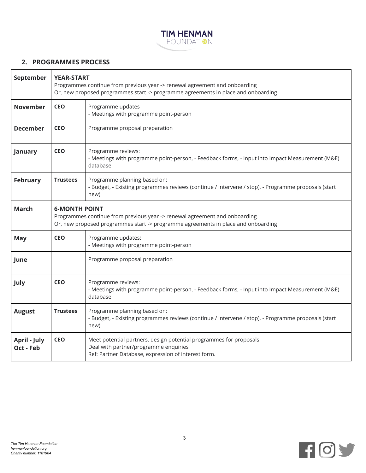

### **2. PROGRAMMES PROCESS**

| September                        | <b>YEAR-START</b><br>Programmes continue from previous year -> renewal agreement and onboarding<br>Or, new proposed programmes start -> programme agreements in place and onboarding    |                                                                                                                                                                     |
|----------------------------------|-----------------------------------------------------------------------------------------------------------------------------------------------------------------------------------------|---------------------------------------------------------------------------------------------------------------------------------------------------------------------|
| <b>November</b>                  | <b>CEO</b><br>Programme updates<br>- Meetings with programme point-person                                                                                                               |                                                                                                                                                                     |
| <b>December</b>                  | <b>CEO</b>                                                                                                                                                                              | Programme proposal preparation                                                                                                                                      |
| January                          | <b>CEO</b>                                                                                                                                                                              | Programme reviews:<br>- Meetings with programme point-person, - Feedback forms, - Input into Impact Measurement (M&E)<br>database                                   |
| <b>February</b>                  | Programme planning based on:<br><b>Trustees</b><br>- Budget, - Existing programmes reviews (continue / intervene / stop), - Programme proposals (start<br>new)                          |                                                                                                                                                                     |
| <b>March</b>                     | <b>6-MONTH POINT</b><br>Programmes continue from previous year -> renewal agreement and onboarding<br>Or, new proposed programmes start -> programme agreements in place and onboarding |                                                                                                                                                                     |
| May                              | <b>CEO</b>                                                                                                                                                                              | Programme updates:<br>- Meetings with programme point-person                                                                                                        |
| June                             |                                                                                                                                                                                         | Programme proposal preparation                                                                                                                                      |
| July                             | <b>CEO</b>                                                                                                                                                                              | Programme reviews:<br>- Meetings with programme point-person, - Feedback forms, - Input into Impact Measurement (M&E)<br>database                                   |
| <b>August</b>                    | <b>Trustees</b>                                                                                                                                                                         | Programme planning based on:<br>- Budget, - Existing programmes reviews (continue / intervene / stop), - Programme proposals (start<br>new)                         |
| <b>April - July</b><br>Oct - Feb | <b>CEO</b>                                                                                                                                                                              | Meet potential partners, design potential programmes for proposals.<br>Deal with partner/programme enquiries<br>Ref: Partner Database, expression of interest form. |

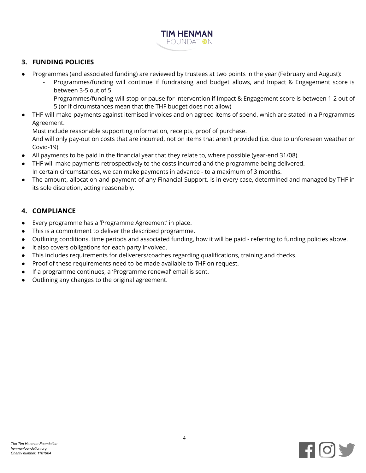

## **3. FUNDING POLICIES**

- Programmes (and associated funding) are reviewed by trustees at two points in the year (February and August):
	- Programmes/funding will continue if fundraising and budget allows, and Impact & Engagement score is between 3-5 out of 5.
	- Programmes/funding will stop or pause for intervention if Impact & Engagement score is between 1-2 out of 5 (or if circumstances mean that the THF budget does not allow)
- THF will make payments against itemised invoices and on agreed items of spend, which are stated in a Programmes Agreement.

Must include reasonable supporting information, receipts, proof of purchase.

And will only pay-out on costs that are incurred, not on items that aren't provided (i.e. due to unforeseen weather or Covid-19).

- All payments to be paid in the financial year that they relate to, where possible (year-end 31/08).
- THF will make payments retrospectively to the costs incurred and the programme being delivered. In certain circumstances, we can make payments in advance - to a maximum of 3 months.
- The amount, allocation and payment of any Financial Support, is in every case, determined and managed by THF in its sole discretion, acting reasonably.

# **4. COMPLIANCE**

- Every programme has a 'Programme Agreement' in place.
- This is a commitment to deliver the described programme.
- Outlining conditions, time periods and associated funding, how it will be paid referring to funding policies above.
- It also covers obligations for each party involved.
- This includes requirements for deliverers/coaches regarding qualifications, training and checks.
- Proof of these requirements need to be made available to THF on request.
- If a programme continues, a 'Programme renewal' email is sent.
- Outlining any changes to the original agreement.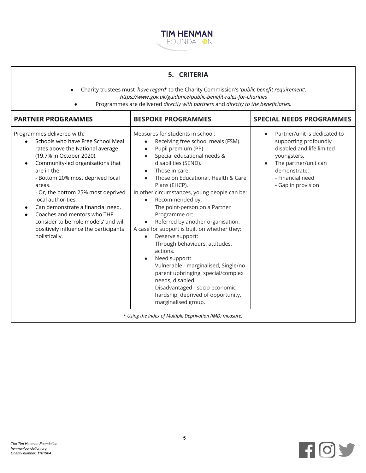

| 5. CRITERIA                                                                                                                                                                                                                                                                                                                                                                                                                                                                      |                                                                                                                                                                                                                                                                                                                                                                                                                                                                                                                                                                                                                                                                                                                                                                    |                                                                                                                                                                                     |  |
|----------------------------------------------------------------------------------------------------------------------------------------------------------------------------------------------------------------------------------------------------------------------------------------------------------------------------------------------------------------------------------------------------------------------------------------------------------------------------------|--------------------------------------------------------------------------------------------------------------------------------------------------------------------------------------------------------------------------------------------------------------------------------------------------------------------------------------------------------------------------------------------------------------------------------------------------------------------------------------------------------------------------------------------------------------------------------------------------------------------------------------------------------------------------------------------------------------------------------------------------------------------|-------------------------------------------------------------------------------------------------------------------------------------------------------------------------------------|--|
| Charity trustees must 'have regard' to the Charity Commission's 'public benefit requirement'.<br>https://www.gov.uk/guidance/public-benefit-rules-for-charities<br>Programmes are delivered directly with partners and directly to the beneficiaries.                                                                                                                                                                                                                            |                                                                                                                                                                                                                                                                                                                                                                                                                                                                                                                                                                                                                                                                                                                                                                    |                                                                                                                                                                                     |  |
| <b>PARTNER PROGRAMMES</b>                                                                                                                                                                                                                                                                                                                                                                                                                                                        | <b>BESPOKE PROGRAMMES</b>                                                                                                                                                                                                                                                                                                                                                                                                                                                                                                                                                                                                                                                                                                                                          | <b>SPECIAL NEEDS PROGRAMMES</b>                                                                                                                                                     |  |
| Programmes delivered with:<br>Schools who have Free School Meal<br>rates above the National average<br>(19.7% in October 2020).<br>Community-led organisations that<br>$\bullet$<br>are in the:<br>- Bottom 20% most deprived local<br>areas.<br>- Or, the bottom 25% most deprived<br>local authorities.<br>Can demonstrate a financial need.<br>Coaches and mentors who THF<br>consider to be 'role models' and will<br>positively influence the participants<br>holistically. | Measures for students in school:<br>Receiving free school meals (FSM).<br>Pupil premium (PP)<br>Special educational needs &<br>$\bullet$<br>disabilities (SEND).<br>Those in care.<br>Those on Educational, Health & Care<br>Plans (EHCP).<br>In other circumstances, young people can be:<br>Recommended by:<br>$\bullet$<br>The point-person on a Partner<br>Programme or;<br>Referred by another organisation.<br>A case for support is built on whether they:<br>Deserve support:<br>$\bullet$<br>Through behaviours, attitudes,<br>actions.<br>Need support:<br>Vulnerable - marginalised, Single/no<br>parent upbringing, special/complex<br>needs, disabled.<br>Disadvantaged - socio-economic<br>hardship, deprived of opportunity,<br>marginalised group. | Partner/unit is dedicated to<br>supporting profoundly<br>disabled and life limited<br>youngsters.<br>The partner/unit can<br>demonstrate:<br>- Financial need<br>- Gap in provision |  |
| * Using the Index of Multiple Deprivation (IMD) measure.                                                                                                                                                                                                                                                                                                                                                                                                                         |                                                                                                                                                                                                                                                                                                                                                                                                                                                                                                                                                                                                                                                                                                                                                                    |                                                                                                                                                                                     |  |



h